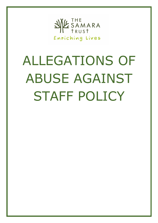

# ALLEGATIONS OF ABUSE AGAINST STAFF POLICY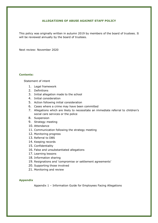## **ALLEGATIONS OF ABUSE AGAINST STAFF POLICY**

This policy was originally written in autumn 2019 by members of the board of trustees. It will be reviewed annually by the board of trustees.

Next review: November 2020

## **Contents:**

[Statement of intent](#page-2-0)

- 1. [Legal framework](#page-2-1)
- 2. [Definitions](#page-2-2)
- 3. [Initial allegation made to the school](#page-4-0)
- 4. [Initial consideration](#page-5-0)
- 5. [Action following initial consideration](#page-5-1)
- 6. [Cases where a crime may have been committed](#page-6-0)
- 7. [Allegations which are likely to necessitate an immediate referral to](#page-7-0) children's [social care services or the police](#page-7-0)
- 8. [Suspension](#page-7-1)
- 9. [Strategy meeting](#page-9-0)
- 10. [Attendance](#page-9-1)
- 11. [Communication following](#page-10-0) the strategy meeting
- 12. [Monitoring progress](#page-10-1)
- 13. [Referral to DBS](#page-10-2)
- 14. [Keeping records](#page-11-0)
- 15. [Confidentiality](#page-11-1)
- 16. False [and unsubstantiated](#page-12-0) allegations
- 17. [Learning lessons](#page-12-1)
- 18. [Information sharing](#page-12-2)
- 19. [Resignations and 'compromise](#page-13-0) or settlement agreements'
- 20. [Supporting those involved](#page-13-1)
- 21. [Monitoring and review](#page-15-0)

# **Appendix**

Appendix 1 – [Information Guide for Employees Facing Allegations](#page-16-0)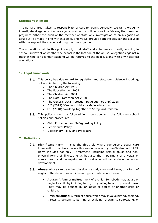## <span id="page-2-0"></span>**Statement of intent**

The Samara Trust takes its responsibility of care for pupils seriously. We will thoroughly investigate allegations of abuse against staff – this will be done in a fair way that does not prejudice either the pupil or the member of staff. Any investigation of an allegation of abuse will be made in line with this policy and we will provide both the accuser and accused with the support they require during the investigation.

The stipulations within this policy apply to all staff and volunteers currently working in school, irrelevant of whether the school is the location of the abuse. Allegations against a teacher who is no longer teaching will be referred to the police, along with any historical allegations.

## <span id="page-2-1"></span>**1. Legal framework**

- 1.1. This policy has due regard to legislation and statutory guidance including, but not limited to, the following:
	- The Children Act 1989
	- The Education Act 2002
	- The Children Act 2004
	- The Data Protection Act 2018
	- The General Data Protection Regulation (GDPR) 2018
	- DfE (2019) 'Keeping children safe in education'
	- DfE (2018) 'Working Together to Safeguard Children'
- 1.2. This policy should be followed in conjunction with the following school policies and procedures:
	- Child Protection and Safeguarding Policy
	- Behavioural Policy
	- Disciplinary Policy and Procedure

## <span id="page-2-2"></span>**2. Definitions**

- **Significant harm:** This is the threshold where compulsory social care intervention must take place – this was introduced by the Children Act 1989. Harm includes not only ill-treatment (including sexual abuse and nonphysical forms of ill treatment), but also the impairment of physical or mental health and the impairment of physical, emotional, social or behaviour development.
- **Abuse:** Abuse can be either physical, sexual, emotional harm, or a form of neglect. The definitions of different types of abuse are below:
	- **Abuse:** A form of maltreatment of a child. Somebody may abuse or neglect a child by inflicting harm, or by failing to act to prevent harm. They may be abused by an adult or adults or another child or children.
	- **Physical abuse:** A form of abuse which may involve hitting, shaking, throwing, poisoning, burning or scalding, drowning, suffocating, or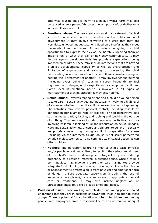otherwise causing physical harm to a child. Physical harm may also be caused when a parent fabricates the symptoms of, or deliberately induces, illness in a child.

- **Emotional abuse:** The persistent emotional maltreatment of a child such as to cause severe and adverse effects on the child's emotional development. It may involve conveying to a child that they are worthless, unloved, inadequate, or valued only insofar as they meet the needs of another person. It may include not giving the child opportunities to express their views, deliberately silencing them or 'making fun' of what they say or how they communicate. It may feature age or developmentally inappropriate expectations being imposed on children. These may include interactions that are beyond a child's developmental capability as well as overprotection and limitation of exploration and learning, or preventing the child participating in normal social interaction. It may involve seeing or hearing the ill-treatment of another. It may involve serious bullying (including cyber bullying), causing children frequently to feel frightened or in danger, or the exploitation or corruption of children. Some level of emotional abuse is involved in all types of maltreatment of a child, although it may occur alone.
- **Sexual abuse:** Involves forcing or enticing a child or young person to take part in sexual activities, not necessarily involving a high level of violence, whether or not the child is aware of what is happening. The activities may involve physical contact, including assault by penetration (for example rape or oral sex) or non-penetrative acts such as masturbation, kissing, and rubbing and touching the outside of clothing. They may also include non-contact activities, such as involving children in looking at, or the production of, sexual images, watching sexual activities, encouraging children to behave in sexually inappropriate ways, or grooming a child in preparation for abuse (including via the internet). Sexual abuse is not solely perpetrated by adult males. Women can also commit acts of sexual abuse, as can other children.
- **Neglect:** The persistent failure to meet a child's basic physical and/or psychological needs, likely to result in the serious impairment of the child's health or development. Neglect may occur during pregnancy as a result of maternal substance abuse. Once a child is born, neglect may involve a parent or carer failing to: provide adequate food, clothing and shelter (including exclusion from home or abandonment); protect a child from physical and emotional harm or danger; ensure adequate supervision (including the use of inadequate care-givers); or ensure access to appropriate medical care or treatment. It may also include neglect of, or unresponsiveness to, a child's basic emotional needs.
- **Position of trust:** Those working with children and young people should understand that they are in positions of power and trust in relation to these groups. There is potential for exploitation and harm to children and young people, and employees have a responsibility to ensure that an unequal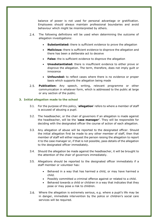balance of power is not used for personal advantage or gratification. Employees should always maintain professional boundaries and avoid behaviour which might be misinterpreted by others.

- $2.4.$ The following definitions will be used when determining the outcome of allegation investigations:
	- **Substantiated:** there is sufficient evidence to prove the allegation
	- **Malicious:** there is sufficient evidence to disprove the allegation and there has been a deliberate act to deceive
	- **False:** the is sufficient evidence to disprove the allegation
	- **Unsubstantiated:** there is insufficient evidence to either prove or disprove the allegation. The term, therefore, does not imply guilt or innocence
	- **Unfounded:** to reflect cases where there is no evidence or proper basis which supports the allegation being made
- **Publication:** Any speech, writing, relevant programme or other  $2.5.$ communication in whatever form, which is addressed to the public at large or any section of the public.

## <span id="page-4-0"></span>**3. Initial allegation made to the school**

- 3.1. For the purpose of this policy, '**allegation**' refers to where a member of staff is accused of abusing a pupil.
- 3.2. The headteacher, or the chair of governors if an allegation is made against the headteacher, will be the '**case manager'**. They will be responsible for deciding with the designated officer the course of action of each allegation.
- 3.3. Any allegation of abuse will be reported to the designated officer. Should the initial allegation first be made to any other member of staff, then that member of staff will either request the person raising the allegation to report it to the case manager or, if that is not possible, pass details of the allegation to the designated officer immediately.
- 3.4. Should the allegation be made against the headteacher, it will be brought to the attention of the chair of governors immediately.
- 3.5. Allegations should be reported to the designated officer immediately if a staff member or volunteer has:
	- Behaved in a way that has harmed a child, or may have harmed a child.
	- Possibly committed a criminal offence against or related to a child.
	- Behaved towards a child or children in a way that indicates that they pose or may pose a risk to children.
- 3.6. Where the allegation is extremely serious, e.g. where a pupil's life may be in danger, immediate intervention by the police or children's social care services will be required.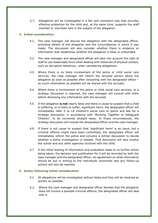$3.7.$ Allegations will be investigated in a fair and consistent way that provides effective protection for the child and, at the same time, supports the staff member or volunteer who is the subject of the allegation.

# <span id="page-5-0"></span>**4. Initial consideration**

- 4.1. The case manager will discuss the allegation with the designated officer, providing details of the allegation and the circumstances in which it was made. The discussion will also consider whether there is evidence or information that establishes whether the allegation is false or unfounded.
- 4.2. The case manager and designated officer will take into account the right of staff to use reasonable force when dealing with instances of physical contact, such as disruptive behaviour, when considering allegations.
- 4.3. Where there is no likely involvement of the police or child social care services, the case manager will inform the accused person about the allegation as soon as possible after consulting with the designated officer – as much information as possible will be shared with the accused.
- 4.4. Where there is involvement of the police or child social care services, or a strategy discussion is required, the case manager will consult with them before disclosing any information with the accused.
- 4.5. If the allegation **is not** clearly false and there is cause to suspect that a child is suffering, or is likely to suffer, significant harm, the designated officer will immediately refer it to LA children's social care or police and ask for a strategy discussion, in accordance with 'Working Together to Safeguard Children', to be convened straight away. In those circumstances, the strategy discussion will include the designated officer and the case manager.
- 4.6. If there is not cause to suspect that 'significant harm' is an issue, but a criminal offence might have been committed, the designated officer will immediately inform the police and convene a similar discussion to decide whether a police investigation is needed. That discussion will also involve the school and any other agencies involved with the child.
- 4.7. If the initial sharing of information and evaluation leads to no further action being taken, the decision and justification for it will be recorded by both the case manager and the designated officer. An agreement on what information should be put in writing to the individuals concerned and any follow-up actions will also be reached.

# <span id="page-5-1"></span>**5. Action following initial consideration**

- 5.1. All allegations will be investigated without delay and they will be resolved as quickly as possible.
- $5.2.$ Where the case manager and designated officer decides that the allegation does not involve a possible criminal offence, the designated officer will deal with it.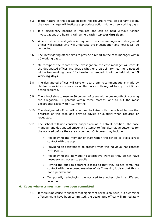- 5.3. If the nature of the allegation does not require formal disciplinary action, the case manager will institute appropriate action within three working days.
- 5.4. If a disciplinary hearing is required and can be held without further investigation, the hearing will be held within **15 working days**.
- 5.5. Where further investigation is required, the case manager and designated officer will discuss who will undertake the investigation and how it will be conducted.
- 5.6. The investigating officer aims to provide a report to the case manager within 10 working days.
- 5.7. On receipt of the report of the investigation, the case manager will consult the designated officer and decide whether a disciplinary hearing is needed within two working days. If a hearing is needed, it will be held within **15 working days**.
- 5.8. The designated officer will take on board any recommendations made by children's social care services or the police with regard to any disciplinary action required.
- 5.9. The school aims to resolve 80 percent of cases within one month of receiving the allegation, 90 percent within three months, and all but the most exceptional cases within 12 months.
- 5.10. The designated officer will continue to liaise with the school to monitor progress of the case and provide advice or support when required or requested.
- 5.11. The school will not consider suspension as a default position: the case manager and designated officer will attempt to find alternative outcomes for the accused before they are suspended. Outcomes may include:
	- Redeploying the member of staff within the school to avoid direct contact with the pupil.
	- Providing an assistant to be present when the individual has contact with pupils.
	- Redeploying the individual to alternative work so they do not have unsupervised access to pupils.
	- Moving the pupil to different classes so that they do not come into contact with the accused member of staff, making it clear that this is not a punishment.
	- Temporarily redeploying the accused to another role in a different location.

#### <span id="page-6-0"></span>**6. Cases where crimes may have been committed**

6.1. If there is no cause to suspect that significant harm is an issue, but a criminal offence might have been committed, the designated officer will immediately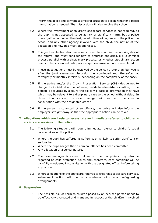inform the police and convene a similar discussion to decide whether a police investigation is needed. That discussion will also involve the school.

- 6.2. Where the involvement of children's social care services is not required, as the pupil is not assessed to be at risk of significant harm, but a police investigation continues, the designated officer will agree with the police, the school and any other agency involved with the child, the nature of the allegation and how this must be addressed.
- 6.3. This joint evaluation discussion must take place within one working day of the referral and must consider how to progress enquiries, e.g. a criminal process parallel with a disciplinary process, or whether disciplinary action needs to be suspended until police enquiries/prosecution are completed.
- 6.4. These investigations must be reviewed by the police no later than four weeks after the joint evaluation discussion has concluded and, thereafter, at fortnightly or monthly intervals, depending on the complexity of the case.
- 6.5. If the police and/or the Crown Prosecution Service (CPS) decide not to charge the individual with an offence, decide to administer a caution, or the person is acquitted by a court, the police will pass all information they have which may be relevant to a disciplinary case to the school without delay. In those circumstances, the case manager will deal with the case in consultation with the designated officer.
- 6.6. If the person is convicted of an offence, the police will also inform the employer straight away so that the appropriate action can be taken.

# <span id="page-7-0"></span>**7. Allegations which are likely to necessitate an immediate referral to children's social care services or the police**

- 7.1. The following situations will require immediate referral to children's social care services or the police:
	- Where the pupil has suffered, is suffering, or is likely to suffer significant or serious harm.
	- Where the pupil alleges that a criminal offence has been committed.
	- Any allegation of a sexual nature.
- 7.2. The case manager is aware that some other complaints may also be regarded as child protection issues and, therefore, each complaint will be carefully considered in consultation with the designated officer before taking any action.
- 7.3. Where allegations of the above are referred to children's social care services, subsequent action will be in accordance with local safeguarding arrangements.

## <span id="page-7-1"></span>**8. Suspension**

8.1. The possible risk of harm to children posed by an accused person needs to be effectively evaluated and managed in respect of the child(ren) involved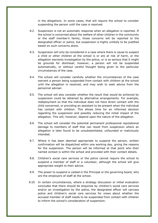in the allegations. In some cases, that will require the school to consider suspending the person until the case is resolved.

- 8.2. Suspension is not an automatic response when an allegation is reported. If the school is concerned about the welfare of other children in the community or the staff member's family, those concerns will be reported to the designated officer or police, but suspension is highly unlikely to be justified based on such concerns alone.
- 8.3. Suspension will only be considered in a case where there is cause to suspect a child or other children at the school is or are at risk of harm, or the allegation warrants investigation by the police, or is so serious that it might be grounds for dismissal; however, a person will not be suspended automatically, or without careful thought being given to the particular circumstances of the case.
- 8.4. The school will consider carefully whether the circumstances of the case warrant a person being suspended from contact with children at the school until the allegation is resolved, and may wish to seek advice from the personnel adviser.
- 8.5. The school will also consider whether the result that would be achieved by suspension could be obtained by alternative arrangements. For example, redeployment so that the individual does not have direct contact with the child concerned, or providing an assistant to be present when the individual has contact with children. This allows time for an informed decision regarding the suspension and possibly reducing the initial impact of the allegation. This will, however, depend upon the nature of the allegation.
- 8.6. The school will consider the potential permanent professional reputational damage to members of staff that can result from suspension where an allegation is later found to be unsubstantiated, unfounded or maliciously intended.
- 8.7. Where it has been deemed appropriate to suspend the person, written confirmation will be dispatched within one working day, giving the reasons for the suspension. The person will be informed at that point who their named contact is within the school and provided with their contact details.
- 8.8. Children's social care services or the police cannot require the school to suspend a member of staff or a volunteer, although the school will give appropriate weight to their advice.
- 8.9. The power to suspend is vested in the Principal or the governing board, who are the employers of staff at the school.
- 8.10. In certain circumstances, where a strategy discussion or initial evaluation concludes that there should be enquiries by children's social care services and/or an investigation by the police, the designated officer will canvass police and children's social care services for views about whether the accused member of staff needs to be suspended from contact with children to inform the school's consideration of suspension.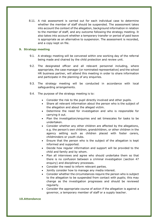8.11. A risk assessment is carried out for each individual case to determine whether the member of staff should be suspended. The assessment takes into account the context of the allegation, background information in relation to the member of staff, and any outcome following the strategy meeting. It also takes into account whether a temporary transfer or period of paid leave is appropriate as an alternative to suspension. The assessment is recorded, and a copy kept on file.

## <span id="page-9-0"></span>**9. Strategy meeting**

- 9.1. A strategy meeting will be convened within one working day of the referral being made and chaired by the child protection and review unit.
- 9.2. The designated officer and all relevant personnel including, where appropriate, the case manager (or nominated representative) and the school HR business partner, will attend this meeting in order to share information and participate in the planning of any enquiries.
- 9.3. The strategy meeting will be conducted in accordance with local safeguarding arrangements.
- 9.4. The purpose of the strategy meeting is to:
	- Consider the risk to the pupil directly involved and other pupils.
	- Share all relevant information about the person who is the subject of the allegation and about the alleged victim.
	- Determine the need for investigation and who is responsible for carrying it out.
	- Plan the investigation/enquiries and set timescales for tasks to be undertaken.
	- Consider whether any other children are affected by the allegations, e.g. the person's own children, grandchildren, or other children in the agency setting such as children placed with foster carers, childminders or youth clubs.
	- Ensure that the person who is the subject of the allegation is kept informed and supported.
	- Decide how regular information and support will be provided to the child and family and by whom.
	- Plan all interviews and agree who should undertake them so that there is no confusion between a criminal investigation (section 47 enquiry) and disciplinary processes.
	- Consider the need to inform relevant parties.
	- Jointly consider how to manage any media interest.
	- Consider whether the circumstances require the person who is subject to the allegation to be suspended from contact with pupils; this may change as the investigation progresses and should be reviewed regularly.
	- Consider the appropriate course of action if the allegation is against a governor, a temporary member of staff or a supply teacher.

## <span id="page-9-1"></span>**10.Attendance**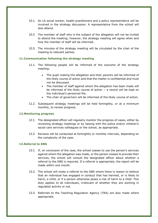- 10.1. An LA social worker, health practitioners and a policy representative will be involved in the strategy discussion. A representative from the school will also attend.
- 10.2. The member of staff who is the subject of the allegation will not be invited to attend the meeting; however, the strategy meeting will agree when and how the member of staff will be informed.
- 10.3. The minutes of the strategy meeting will be circulated by the chair of the meeting to relevant parties.

## <span id="page-10-0"></span>**11.Communication following the strategy meeting**

- 11.1. The following people will be informed of the outcome of the strategy meeting:
	- The pupil making the allegation and their parents will be informed of the likely course of action and that the matter is confidential and must not be discussed.
	- The member of staff against whom the allegation has been made will be informed of the likely course of action − a record will be kept on the individual's personnel file.
	- The chair of governors will be informed of the likely course of action.
- 11.2. Subsequent strategy meetings will be held fortnightly, or at a minimum monthly, to review progress.

## <span id="page-10-1"></span>**12.Monitoring progress**

- 12.1. The designated officer will regularly monitor the progress of cases, either by reviewing strategy meetings or by liaising with the police and/or children's social care services colleagues or the school, as appropriate.
- 12.2. Reviews will be conducted at fortnightly or monthly intervals, depending on the complexity of the case.

# <span id="page-10-2"></span>**13.Referral to DBS**

- 13.1. If, on conclusion of the case, the school ceases to use the person's services against whom the allegation was made, or the person ceases to provide their services, the school will consult the designated officer about whether a referral to the DBS is required. If a referral is appropriate, the report will be made within one month.
- 13.2. The school will make a referral to the DBS where there is reason to believe that an individual has engaged in conduct that has harmed, or is likely to harm, a child, or if a person otherwise poses a risk of harm to a child. This duty applies to all individuals, irrelevant of whether they are working in regulated activity or not.
- 13.3. Referrals to the Teaching Regulation Agency (TRA) are also made where appropriate.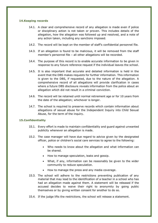## <span id="page-11-0"></span>**14.Keeping records**

- 14.1. A clear and comprehensive record of any allegation is made even if police or disciplinary action is not taken or proven. This includes details of the allegation, how the allegation was followed up and resolved, and a note of any action taken, including any sanctions imposed.
- 14.2. The record will be kept on the member of staff's confidential personnel file.
- 14.3. If an allegation is found to be malicious, it will be removed from the staff member's personnel file – all other allegations will be recorded.
- 14.4. The purpose of this record is to enable accurate information to be given in response to any future reference request if the individual leaves the school.
- 14.5. It is also important that accurate and detailed information is held in the event that the DBS makes requests for further information. This information is given to the DBS, if requested, due to the nature of the allegation. A comprehensive record of all allegations will provide clarification in cases where a future DBS disclosure reveals information from the police about an allegation which did not result in a criminal conviction.
- 14.6. The record will be retained until normal retirement age or for 10 years from the date of the allegation; whichever is longer.
- 14.7. The school is required to preserve records which contain information about allegations of sexual abuse for the Independent Inquiry into Child Sexual Abuse, for the term of the inquiry.

## <span id="page-11-1"></span>**15.Confidentiality**

- 15.1. Every effort is made to maintain confidentiality and guard against unwanted publicity whenever an allegation is made.
- 15.2. The case manager will have due regard to advice given by the designated officer, police or children's social care services to agree to the following:
	- Who needs to know about the allegation and what information can be shared.
	- How to manage speculation, leaks and gossip.
	- What, if any, information can be reasonably be given to the wider community to reduce speculation.
	- How to manage the press and any media coverage.
- 15.3. The school will adhere to the restrictions preventing publication of any material that may lead to the identification of a teacher in a school who has had an allegation made against them. A statement will be released if the accused decides to waive their right to anonymity by going public themselves or by giving written consent for another to do so.
- 15.4. If the judge lifts the restrictions, the school will release a statement.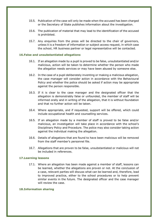- 15.5. Publication of the case will only be made when the accused has been charged or the Secretary of State publishes information about the investigation.
- 15.6. The publication of material that may lead to the identification of the accused is prohibited.
- 15.7. Any enquiries from the press will be directed to the chair of governors, unless it is a freedom of information or subject access request, in which case the school, HR business partner or legal representative will be contacted.

#### <span id="page-12-0"></span>**16.False and unsubstantiated allegations**

- 16.1. If an allegation made by a pupil is proved to be false, unsubstantiated and/or malicious, action will be taken to determine whether the person who made the allegation needs services or may have been abused by someone else.
- 16.2. In the case of a pupil deliberately inventing or making a malicious allegation, the case manager will consider action in accordance with the Behavioural Policy and whether the police should be asked if action may be appropriate against the person responsible.
- 16.3. If it is clear to the case manager and the designated officer that the allegation is demonstrably false or unfounded, the member of staff will be informed orally and in writing of the allegation, that it is without foundation and that no further action will be taken.
- 16.4. Where appropriate, and if requested, support will be offered, which could include occupational health and counselling services.
- 16.5. If an allegation made by a member of staff is proved to be false and/or malicious, an investigation will take place in accordance with the school's Disciplinary Policy and Procedure. The police may also consider taking action against the individual making the allegation.
- 16.6. Details of allegations that are found to have been malicious will be removed from the staff member's personnel file.
- 16.7. Allegations that are proven to be false, unsubstantiated or malicious will not be included in references.

#### <span id="page-12-1"></span>**17.Learning lessons**

17.1. Where an allegation has been made against a member of staff, lessons can be learned, whether the allegations are proven or not. At the conclusion of a case, relevant parties will discuss what can be learned and, therefore, lead to improved practice, either to the school procedures or to help prevent similar events in the future. The designated officer and the case manager will review the case.

#### <span id="page-12-2"></span>**18.Information sharing**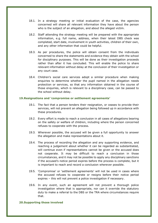- 18.1. In a strategy meeting or initial evaluation of the case, the agencies concerned will share all relevant information they have about the person who is the subject of an allegation, and about the alleged victim.
- 18.2. Staff attending the strategy meeting will be prepared with the appropriate information, e.g. full name, address, when their latest DBS check was completed, start date, involvement in youth activities, children of their own, and any other information that could be helpful.
- 18.3. As per procedures, the police will obtain consent from the individuals concerned to share the statements and evidence they obtain with the school for disciplinary purposes. This will be done as their investigation proceeds rather than after it has concluded. This will enable the police to share relevant information without delay at the conclusion of their investigation or any court case.
- 18.4. Children's social care services adopt a similar procedure when making enquiries to determine whether the pupil named in the allegation needs protection or services, so that any information obtained in the course of those enquiries, which is relevant to a disciplinary case, can be passed to the school without delay.

## <span id="page-13-0"></span>**19.Resignations and 'compromise or settlement agreements'**

- 19.1. The fact that a person tenders their resignation, or ceases to provide their services, will not prevent an allegation being followed up in accordance with these procedures.
- 19.2. Every effort is made to reach a conclusion in all cases of allegations bearing on the safety or welfare of children, including where the person concerned refuses to cooperate with the process.
- 19.3. Wherever possible, the accused will be given a full opportunity to answer the allegation and make representations about it.
- 19.4. The process of recording the allegation and any supporting evidence, and reaching a judgement about whether it can be regarded as substantiated, will continue even if representations cannot be given or the accused does not cooperate. It may be difficult to reach a conclusion in those circumstances, and it may not be possible to apply any disciplinary sanctions if the accused's notice period expires before the process is complete, but it is important to reach and record a conclusion wherever possible.
- 19.5. 'Compromise' or 'settlement agreements' will not be used in cases where the accused refuses to cooperate or resigns before their notice period expires – this will not prevent a police investigation if necessary.
- 19.6. In any event, such an agreement will not prevent a thorough police investigation where that is appropriate, nor can it override the statutory duty to make a referral to the DBS or the TRA where circumstances require that.

#### <span id="page-13-1"></span>**20.Supporting those involved**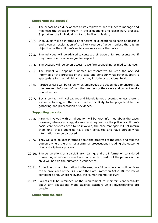#### **Supporting the accused**

- 20.1. The school has a duty of care to its employees and will act to manage and minimise the stress inherent in the allegations and disciplinary process. Support for the individual is vital to fulfilling this duty.
- 20.2. Individuals will be informed of concerns or allegations as soon as possible and given an explanation of the likely course of action, unless there is an objection by the children's social care services or the police.
- 20.3. The individual will be advised to contact their trade union representative, if they have one, or a colleague for support.
- 20.4. The accused will be given access to welfare counselling or medical advice.
- 20.5. The school will appoint a named representative to keep the accused informed of the progress of the case and consider what other support is appropriate for the individual; this may include occupational health.
- 20.6. Particular care will be taken when employees are suspended to ensure that they are kept informed of both the progress of their case and current workrelated issues.
- 20.7. Social contact with colleagues and friends is not prevented unless there is evidence to suggest that such contact is likely to be prejudicial to the gathering and presentation of evidence.

#### **Supporting parents**

- 20.8. Parents involved with an allegation will be kept informed about the case; however, where a strategy discussion is required, or the police or children's social care services need to be involved, the case manager will not inform them until those agencies have been consulted and have agreed what information can be disclosed.
- 20.9. They will also be kept informed about the progress of the case, and told the outcome where there is not a criminal prosecution, including the outcome of any disciplinary process.
- 20.10. The deliberations of a disciplinary hearing, and the information considered in reaching a decision, cannot normally be disclosed, but the parents of the child will be told the outcome in confidence.
- 20.11. In deciding what information to disclose, careful consideration will be given to the provisions of the GDPR and the Data Protection Act 2018, the law of confidence and, where relevant, the Human Rights Act 1998.
- 20.12. Parents will be reminded of the requirement to maintain confidentiality about any allegations made against teachers whilst investigations are ongoing.

#### **Supporting the child**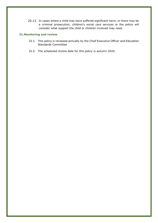20.13. In cases where a child may have suffered significant harm, or there may be a criminal prosecution, children's social care services or the police will consider what support the child or children involved may need.

# <span id="page-15-0"></span>**21.Monitoring and review**

**.**

- 21.1. This policy is reviewed annually by the Chief Executive Officer and Education Standards Committee
- 21.2. The scheduled review date for this policy is autumn 2020.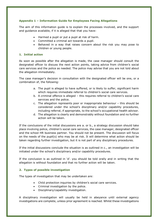# <span id="page-16-0"></span>**Appendix 1 – Information Guide for Employees Facing Allegations**

The aim of this information guide is to explain the processes involved, and the support and guidance available, if it is alleged that that you have:

- Harmed a pupil or put a pupil at risk of harm.
- Committed a criminal act towards a pupil.
- Behaved in a way that raises concern about the risk you may pose to children or young people.

# **1. Initial action**

As soon as possible after the allegation is made, the case manager should consult the designated officer to discuss the next action points, taking advice from children's social care services and the police as needed. The police may advise that you are not told about the allegation immediately.

The case manager's decision in consultation with the designated officer will be one, or a combination of, the following:

- a. The pupil is alleged to have suffered, or is likely to suffer, significant harm which requires immediate referral to children's social care services.
- b. A criminal offence is alleged this requires referral to children's social care services and the police.
- c. The allegation represents poor or inappropriate behaviour this should be considered under the school's disciplinary and/or capability procedures, including referral, if appropriate, to the school's occupational health advisor.
- d. The allegation is clearly and demonstrably without foundation and no further action will be taken.

If the conclusions of the initial discussions are a. or b., a strategy discussion should take place involving police, children's social care services, the case manager, designated officer and the school HR business partner. You should not be present. The discussion will focus on the needs of the pupil(s) who may be at risk. It will determine what action should be taken regarding further investigation, but it is not part of any disciplinary procedures.

If the initial discussions conclude the situation is as outlined in c., an investigation will be initiated under the school's disciplinary and/or capability procedures.

If the conclusion is as outlined in 'd'. you should be told orally and in writing that the allegation is without foundation and that no further action will be taken.

# **2. Types of possible investigation**

The types of investigation that may be undertaken are:

- Child protection inquiries by children's social care services.
- Criminal investigation by the police.
- Disciplinary/capability investigation.

A disciplinary investigation will usually be held in abeyance until external agency investigations are complete, unless prior agreement is reached. Whilst these investigations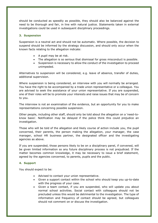should be conducted as speedily as possible, they should also be balanced against the need to be thorough and fair, in line with natural justice. Statements taken in external investigations could be used in subsequent disciplinary proceedings.

## **3. Suspension**

Suspension is a neutral act and should not be automatic. Where possible, the decision to suspend should be informed by the strategy discussion, and should only occur when the known facts relating to the allegation indicate:

- $\bullet$  A pupil may be at risk.
- The allegation is so serious that dismissal for gross misconduct is possible.
- Suspension is necessary to allow the conduct of the investigation to proceed unimpeded.

Alternatives to suspension will be considered, e.g. leave of absence, transfer of duties, additional supervision.

Where suspension is being considered, an interview with you will normally be arranged. You have the right to be accompanied by a trade union representative or a colleague. You are advised to seek the assistance of your union representative. If you are suspended, one of their roles will be to promote your interests and raise issues that may be of concern to you.

The interview is not an examination of the evidence, but an opportunity for you to make representations concerning possible suspension.

Other people, including other staff, should only be told about the allegation on a 'need-toknow basis'. Notification may be delayed if the police think this could prejudice an investigation.

Those who will be told of the allegation and likely course of action include you, the pupil concerned, their parents, the person making the allegation, your manager, the case manager, school HR business partner, the designated officer and the investigating agencies as above.

If you are suspended, those persons likely to be on a disciplinary panel, if convened, will be given limited information so any future disciplinary process is not prejudiced. If the matter becomes common knowledge, it may be necessary to issue a brief statement, agreed by the agencies concerned, to parents, pupils and the public.

# **4. Support**

You should expect to be:

- Advised to contact your union representative.
- Given a support contact within the school who should keep you up-to-date with the progress of your case.
- Given a team contact, if you are suspended, who will update you about normal school activities. Social contact with colleagues should not be precluded unless this would be detrimental to the investigation. The type of information and frequency of contact should be agreed, but colleagues should not comment on or discuss the investigation.